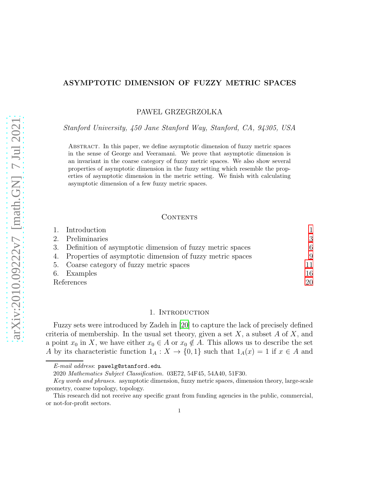# ASYMPTOTIC DIMENSION OF FUZZY METRIC SPACES

PAWEL GRZEGRZOLKA

*Stanford University, 450 Jane Stanford Way, Stanford, CA, 94305, USA*

Abstract. In this paper, we define asymptotic dimension of fuzzy metric spaces in the sense of George and Veeramani. We prove that asymptotic dimension is an invariant in the coarse category of fuzzy metric spaces. We also show several properties of asymptotic dimension in the fuzzy setting which resemble the properties of asymptotic dimension in the metric setting. We finish with calculating asymptotic dimension of a few fuzzy metric spaces.

### CONTENTS

|            | 1. Introduction                                              |    |
|------------|--------------------------------------------------------------|----|
|            | 2. Preliminaries                                             | 3  |
|            | 3. Definition of asymptotic dimension of fuzzy metric spaces | 6  |
|            | 4. Properties of asymptotic dimension of fuzzy metric spaces | 9  |
|            | 5. Coarse category of fuzzy metric spaces                    | 11 |
|            | 6. Examples                                                  | 16 |
| References |                                                              | 20 |

# 1. INTRODUCTION

<span id="page-0-0"></span>Fuzzy sets were introduced by Zadeh in [\[20\]](#page-20-0) to capture the lack of precisely defined criteria of membership. In the usual set theory, given a set  $X$ , a subset  $A$  of  $X$ , and a point  $x_0$  in X, we have either  $x_0 \in A$  or  $x_0 \notin A$ . This allows us to describe the set A by its characteristic function  $1_A: X \to \{0,1\}$  such that  $1_A(x) = 1$  if  $x \in A$  and

E-mail address: pawelg@stanford.edu.

<sup>2020</sup> Mathematics Subject Classification. 03E72, 54F45, 54A40, 51F30.

Key words and phrases. asymptotic dimension, fuzzy metric spaces, dimension theory, large-scale geometry, coarse topology, topology.

This research did not receive any specific grant from funding agencies in the public, commercial, or not-for-profit sectors.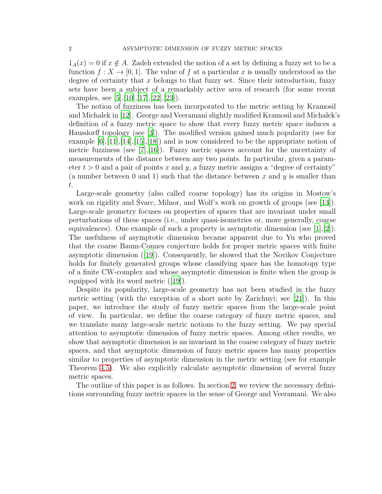$1_A(x) = 0$  if  $x \notin A$ . Zadeh extended the notion of a set by defining a fuzzy set to be a function  $f: X \to [0,1]$ . The value of f at a particular x is usually understood as the degree of certainty that x belongs to that fuzzy set. Since their introduction, fuzzy sets have been a subject of a remarkably active area of research (for some recent examples, see  $[5], [10], [17], [22], [23]$  $[5], [10], [17], [22], [23]$  $[5], [10], [17], [22], [23]$  $[5], [10], [17], [22], [23]$  $[5], [10], [17], [22], [23]$  $[5], [10], [17], [22], [23]$  $[5], [10], [17], [22], [23]$  $[5], [10], [17], [22], [23]$ .

The notion of fuzziness has been incorporated to the metric setting by Kramosil and Michalek in [\[12](#page-20-5)]. George and Veeramani slightly modified Kramosil and Michalek's definition of a fuzzy metric space to show that every fuzzy metric space induces a Hausdorff topology (see [\[3](#page-19-1)]). The modified version gained much popularity (see for example  $[6], [11], [14], [15], [18]$  $[6], [11], [14], [15], [18]$  $[6], [11], [14], [15], [18]$  $[6], [11], [14], [15], [18]$  $[6], [11], [14], [15], [18]$  $[6], [11], [14], [15], [18]$  $[6], [11], [14], [15], [18]$  $[6], [11], [14], [15], [18]$  $[6], [11], [14], [15], [18]$  and is now considered to be the appropriate notion of metric fuzziness (see  $[7], [16]$  $[7], [16]$  $[7], [16]$ ). Fuzzy metric spaces account for the uncertainty of measurements of the distance between any two points. In particular, given a parameter  $t > 0$  and a pair of points x and y, a fuzzy metric assigns a "degree of certainty" (a number between 0 and 1) such that the distance between x and y is smaller than t.

Large-scale geometry (also called coarse topology) has its origins in Mostow's work on rigidity and Svarc, Milnor, and Wolf's work on growth of groups (see  $[13]$ ). Large-scale geometry focuses on properties of spaces that are invariant under small perturbations of these spaces (i.e., under quasi-isometries or, more generally, coarse equivalences). One example of such a property is asymptotic dimension (see  $|1|,|2|$ ). The usefulness of asymptotic dimension became apparent due to Yu who proved that the coarse Baum-Connes conjecture holds for proper metric spaces with finite asymptotic dimension ([\[19](#page-20-14)]). Consequently, he showed that the Novikov Conjecture holds for finitely generated groups whose classifying space has the homotopy type of a finite CW-complex and whose asymptotic dimension is finite when the group is equipped with its word metric ([\[19](#page-20-14)]).

Despite its popularity, large-scale geometry has not been studied in the fuzzy metric setting (with the exception of a short note by Zarichnyi; see [\[21\]](#page-20-15)). In this paper, we introduce the study of fuzzy metric spaces from the large-scale point of view. In particular, we define the coarse category of fuzzy metric spaces, and we translate many large-scale metric notions to the fuzzy setting. We pay special attention to asymptotic dimension of fuzzy metric spaces. Among other results, we show that asymptotic dimension is an invariant in the coarse category of fuzzy metric spaces, and that asymptotic dimension of fuzzy metric spaces has many properties similar to properties of asymptotic dimension in the metric setting (see for example Theorem [4.5\)](#page-8-1). We also explicitly calculate asymptotic dimension of several fuzzy metric spaces.

The outline of this paper is as follows. In section [2,](#page-2-0) we review the necessary definitions surrounding fuzzy metric spaces in the sense of George and Veeramani. We also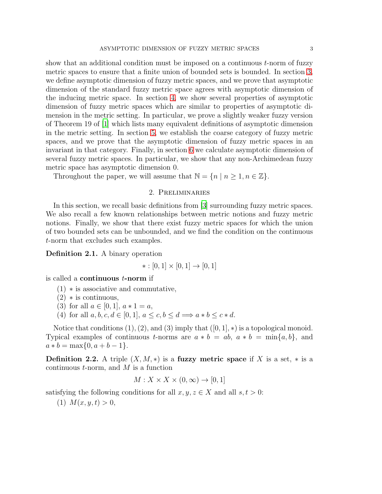show that an additional condition must be imposed on a continuous t-norm of fuzzy metric spaces to ensure that a finite union of bounded sets is bounded. In section [3,](#page-5-0) we define asymptotic dimension of fuzzy metric spaces, and we prove that asymptotic dimension of the standard fuzzy metric space agrees with asymptotic dimension of the inducing metric space. In section [4,](#page-8-0) we show several properties of asymptotic dimension of fuzzy metric spaces which are similar to properties of asymptotic dimension in the metric setting. In particular, we prove a slightly weaker fuzzy version of Theorem 19 of [\[1](#page-19-2)] which lists many equivalent definitions of asymptotic dimension in the metric setting. In section [5,](#page-10-0) we establish the coarse category of fuzzy metric spaces, and we prove that the asymptotic dimension of fuzzy metric spaces in an invariant in that category. Finally, in section [6](#page-15-0) we calculate asymptotic dimension of several fuzzy metric spaces. In particular, we show that any non-Archimedean fuzzy metric space has asymptotic dimension 0.

<span id="page-2-0"></span>Throughout the paper, we will assume that  $\mathbb{N} = \{n \mid n \geq 1, n \in \mathbb{Z}\}.$ 

## 2. Preliminaries

In this section, we recall basic definitions from [\[3](#page-19-1)] surrounding fuzzy metric spaces. We also recall a few known relationships between metric notions and fuzzy metric notions. Finally, we show that there exist fuzzy metric spaces for which the union of two bounded sets can be unbounded, and we find the condition on the continuous t-norm that excludes such examples.

Definition 2.1. A binary operation

 $* : [0, 1] \times [0, 1] \rightarrow [0, 1]$ 

is called a continuous t-norm if

- $(1)$   $\ast$  is associative and commutative,
- $(2)$   $*$  is continuous,
- (3) for all  $a \in [0,1], a * 1 = a$ ,
- (4) for all  $a, b, c, d \in [0, 1], a \leq c, b \leq d \Longrightarrow a * b \leq c * d.$

Notice that conditions  $(1), (2)$ , and  $(3)$  imply that  $([0, 1], *)$  is a topological monoid. Typical examples of continuous t-norms are  $a * b = ab$ ,  $a * b = \min\{a, b\}$ , and  $a * b = \max\{0, a + b - 1\}.$ 

**Definition 2.2.** A triple  $(X, M, *)$  is a fuzzy metric space if X is a set,  $*$  is a continuous  $t$ -norm, and  $M$  is a function

$$
M: X \times X \times (0, \infty) \to [0, 1]
$$

satisfying the following conditions for all  $x, y, z \in X$  and all  $s, t > 0$ :

(1)  $M(x, y, t) > 0$ ,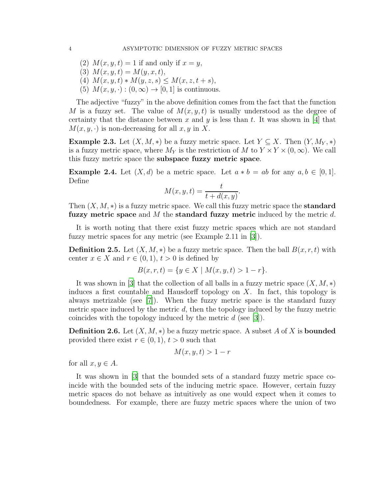- (2)  $M(x, y, t) = 1$  if and only if  $x = y$ ,
- (3)  $M(x, y, t) = M(y, x, t),$
- (4)  $M(x, y, t) * M(y, z, s) \leq M(x, z, t + s),$
- (5)  $M(x, y, \cdot) : (0, \infty) \to [0, 1]$  is continuous.

The adjective "fuzzy" in the above definition comes from the fact that the function M is a fuzzy set. The value of  $M(x, y, t)$  is usually understood as the degree of certainty that the distance between x and y is less than t. It was shown in [\[4\]](#page-19-4) that  $M(x, y, \cdot)$  is non-decreasing for all  $x, y$  in X.

**Example 2.3.** Let  $(X, M, *)$  be a fuzzy metric space. Let  $Y \subseteq X$ . Then  $(Y, M_Y, *)$ is a fuzzy metric space, where  $M_Y$  is the restriction of M to  $Y \times Y \times (0, \infty)$ . We call this fuzzy metric space the subspace fuzzy metric space.

**Example 2.4.** Let  $(X, d)$  be a metric space. Let  $a * b = ab$  for any  $a, b \in [0, 1]$ . Define

$$
M(x, y, t) = \frac{t}{t + d(x, y)}.
$$

Then  $(X, M, *)$  is a fuzzy metric space. We call this fuzzy metric space the **standard** fuzzy metric space and M the standard fuzzy metric induced by the metric  $d$ .

It is worth noting that there exist fuzzy metric spaces which are not standard fuzzy metric spaces for any metric (see Example 2.11 in [\[3\]](#page-19-1)).

**Definition 2.5.** Let  $(X, M, *)$  be a fuzzy metric space. Then the ball  $B(x, r, t)$  with center  $x \in X$  and  $r \in (0,1)$ ,  $t > 0$  is defined by

$$
B(x, r, t) = \{ y \in X \mid M(x, y, t) > 1 - r \}.
$$

It was shown in [\[3\]](#page-19-1) that the collection of all balls in a fuzzy metric space  $(X, M, *)$ induces a first countable and Hausdorff topology on  $X$ . In fact, this topology is always metrizable (see [\[7\]](#page-20-11)). When the fuzzy metric space is the standard fuzzy metric space induced by the metric  $d$ , then the topology induced by the fuzzy metric coincides with the topology induced by the metric  $d$  (see [\[3\]](#page-19-1)).

**Definition 2.6.** Let  $(X, M, *)$  be a fuzzy metric space. A subset A of X is **bounded** provided there exist  $r \in (0, 1)$ ,  $t > 0$  such that

$$
M(x, y, t) > 1 - r
$$

for all  $x, y \in A$ .

It was shown in [\[3](#page-19-1)] that the bounded sets of a standard fuzzy metric space coincide with the bounded sets of the inducing metric space. However, certain fuzzy metric spaces do not behave as intuitively as one would expect when it comes to boundedness. For example, there are fuzzy metric spaces where the union of two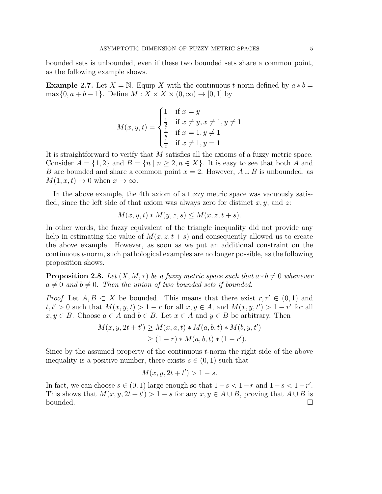bounded sets is unbounded, even if these two bounded sets share a common point, as the following example shows.

**Example 2.7.** Let  $X = \mathbb{N}$ . Equip X with the continuous t-norm defined by  $a * b =$  $\max\{0, a+b-1\}$ . Define  $M: X \times X \times (0, \infty) \rightarrow [0, 1]$  by

$$
M(x, y, t) = \begin{cases} 1 & \text{if } x = y \\ \frac{1}{2} & \text{if } x \neq y, x \neq 1, y \neq 1 \\ \frac{1}{y} & \text{if } x = 1, y \neq 1 \\ \frac{1}{x} & \text{if } x \neq 1, y = 1 \end{cases}
$$

It is straightforward to verify that M satisfies all the axioms of a fuzzy metric space. Consider  $A = \{1,2\}$  and  $B = \{n \mid n \geq 2, n \in X\}$ . It is easy to see that both A and B are bounded and share a common point  $x = 2$ . However,  $A \cup B$  is unbounded, as  $M(1, x, t) \to 0$  when  $x \to \infty$ .

In the above example, the 4th axiom of a fuzzy metric space was vacuously satisfied, since the left side of that axiom was always zero for distinct  $x, y$ , and  $z$ :

$$
M(x, y, t) * M(y, z, s) \le M(x, z, t + s).
$$

In other words, the fuzzy equivalent of the triangle inequality did not provide any help in estimating the value of  $M(x, z, t + s)$  and consequently allowed us to create the above example. However, as soon as we put an additional constraint on the continuous t-norm, such pathological examples are no longer possible, as the following proposition shows.

**Proposition 2.8.** Let  $(X, M, *)$  be a fuzzy metric space such that  $a * b \neq 0$  whenever  $a \neq 0$  and  $b \neq 0$ . Then the union of two bounded sets if bounded.

*Proof.* Let  $A, B \subset X$  be bounded. This means that there exist  $r, r' \in (0, 1)$  and  $t, t' > 0$  such that  $M(x, y, t) > 1 - r$  for all  $x, y \in A$ , and  $M(x, y, t') > 1 - r'$  for all  $x, y \in B$ . Choose  $a \in A$  and  $b \in B$ . Let  $x \in A$  and  $y \in B$  be arbitrary. Then

$$
M(x, y, 2t + t') \ge M(x, a, t) * M(a, b, t) * M(b, y, t')
$$
  
\n
$$
\ge (1 - r) * M(a, b, t) * (1 - r').
$$

Since by the assumed property of the continuous t-norm the right side of the above inequality is a positive number, there exists  $s \in (0, 1)$  such that

$$
M(x, y, 2t + t') > 1 - s.
$$

In fact, we can choose  $s \in (0,1)$  large enough so that  $1-s < 1-r$  and  $1-s < 1-r'$ . This shows that  $M(x, y, 2t + t') > 1 - s$  for any  $x, y \in A \cup B$ , proving that  $A \cup B$  is bounded.  $\Box$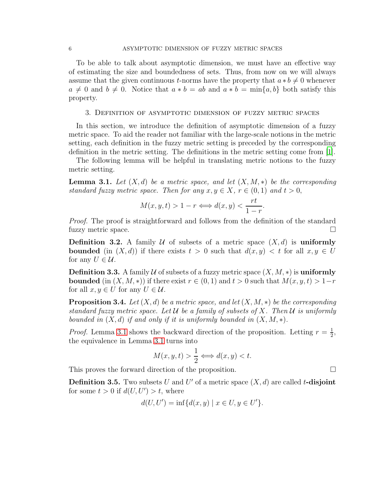To be able to talk about asymptotic dimension, we must have an effective way of estimating the size and boundedness of sets. Thus, from now on we will always assume that the given continuous t-norms have the property that  $a * b \neq 0$  whenever  $a \neq 0$  and  $b \neq 0$ . Notice that  $a * b = ab$  and  $a * b = \min\{a, b\}$  both satisfy this property.

### <span id="page-5-0"></span>3. Definition of asymptotic dimension of fuzzy metric spaces

In this section, we introduce the definition of asymptotic dimension of a fuzzy metric space. To aid the reader not familiar with the large-scale notions in the metric setting, each definition in the fuzzy metric setting is preceded by the corresponding definition in the metric setting. The definitions in the metric setting come from [\[1](#page-19-2)].

The following lemma will be helpful in translating metric notions to the fuzzy metric setting.

<span id="page-5-1"></span>**Lemma 3.1.** Let  $(X, d)$  be a metric space, and let  $(X, M, *)$  be the corresponding *standard fuzzy metric space. Then for any*  $x, y \in X, r \in (0, 1)$  *and*  $t > 0$ ,

$$
M(x, y, t) > 1 - r \Longleftrightarrow d(x, y) < \frac{rt}{1 - r}.
$$

*Proof.* The proof is straightforward and follows from the definition of the standard fuzzy metric space.

**Definition 3.2.** A family U of subsets of a metric space  $(X, d)$  is uniformly **bounded** (in  $(X, d)$ ) if there exists  $t > 0$  such that  $d(x, y) < t$  for all  $x, y \in U$ for any  $U \in \mathcal{U}$ .

**Definition 3.3.** A family U of subsets of a fuzzy metric space  $(X, M, *)$  is uniformly **bounded** (in  $(X, M, *)$ ) if there exist  $r \in (0, 1)$  and  $t > 0$  such that  $M(x, y, t) > 1-r$ for all  $x, y \in U$  for any  $U \in \mathcal{U}$ .

<span id="page-5-2"></span>**Proposition 3.4.** *Let*  $(X, d)$  *be a metric space, and let*  $(X, M, *)$  *be the corresponding standard fuzzy metric space. Let* U *be a family of subsets of* X*. Then* U *is uniformly bounded in*  $(X, d)$  *if and only if it is uniformly bounded in*  $(X, M, *)$ *.* 

*Proof.* Lemma [3.1](#page-5-1) shows the backward direction of the proposition. Letting  $r = \frac{1}{2}$  $\frac{1}{2}$ , the equivalence in Lemma [3.1](#page-5-1) turns into

$$
M(x, y, t) > \frac{1}{2} \Longleftrightarrow d(x, y) < t.
$$

This proves the forward direction of the proposition.

**Definition 3.5.** Two subsets U and U' of a metric space  $(X, d)$  are called t-disjoint for some  $t > 0$  if  $d(U, U') > t$ , where

$$
d(U, U') = \inf \{ d(x, y) \mid x \in U, y \in U' \}.
$$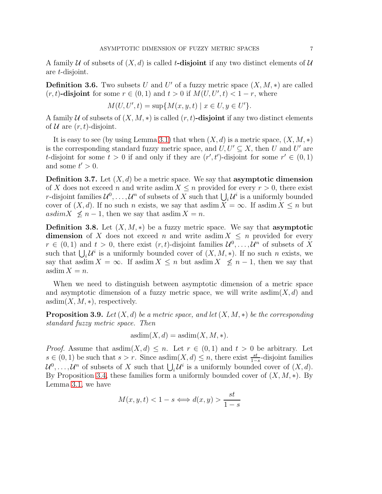A family U of subsets of  $(X, d)$  is called t-disjoint if any two distinct elements of U are t-disjoint.

<span id="page-6-0"></span>**Definition 3.6.** Two subsets U and U' of a fuzzy metric space  $(X, M, *)$  are called  $(r, t)$ -disjoint for some  $r \in (0, 1)$  and  $t > 0$  if  $M(U, U', t) < 1 - r$ , where

$$
M(U, U', t) = \sup \{ M(x, y, t) \mid x \in U, y \in U' \}.
$$

A family U of subsets of  $(X, M, *)$  is called  $(r, t)$ -disjoint if any two distinct elements of  $U$  are  $(r, t)$ -disjoint.

It is easy to see (by using Lemma [3.1\)](#page-5-1) that when  $(X, d)$  is a metric space,  $(X, M, *)$ is the corresponding standard fuzzy metric space, and  $U, U' \subseteq X$ , then U and U' are t-disjoint for some  $t > 0$  if and only if they are  $(r', t')$ -disjoint for some  $r' \in (0, 1)$ and some  $t' > 0$ .

**Definition 3.7.** Let  $(X, d)$  be a metric space. We say that **asymptotic dimension** of X does not exceed n and write asdim  $X \leq n$  provided for every  $r > 0$ , there exist *r*-disjoint families  $\mathcal{U}^0, \ldots, \mathcal{U}^n$  of subsets of X such that  $\bigcup_i \mathcal{U}^i$  is a uniformly bounded cover of  $(X, d)$ . If no such n exists, we say that asdim  $X = \infty$ . If asdim  $X \leq n$  but asdim  $X \nleq n-1$ , then we say that asdim  $X = n$ .

**Definition 3.8.** Let  $(X, M, *)$  be a fuzzy metric space. We say that **asymptotic dimension** of X does not exceed n and write asdim  $X \leq n$  provided for every  $r \in (0,1)$  and  $t > 0$ , there exist  $(r, t)$ -disjoint families  $\mathcal{U}^0, \ldots, \mathcal{U}^n$  of subsets of X such that  $\bigcup_i \mathcal{U}^i$  is a uniformly bounded cover of  $(X, M, *)$ . If no such n exists, we say that asdim  $X = \infty$ . If asdim  $X \leq n$  but asdim  $X \nleq n-1$ , then we say that  $\operatorname{asdim} X = n.$ 

When we need to distinguish between asymptotic dimension of a metric space and asymptotic dimension of a fuzzy metric space, we will write asdim $(X, d)$  and  $\text{asdim}(X, M, *)$ , respectively.

Proposition 3.9. *Let* (X, d) *be a metric space, and let* (X, M, ∗) *be the corresponding standard fuzzy metric space. Then*

$$
asdim(X, d) = asdim(X, M, *).
$$

*Proof.* Assume that asdim $(X, d) \leq n$ . Let  $r \in (0, 1)$  and  $t > 0$  be arbitrary. Let  $s \in (0,1)$  be such that  $s > r$ . Since asdim $(X, d) \leq n$ , there exist  $\frac{st}{1-s}$ -disjoint families  $\mathcal{U}^0, \ldots, \mathcal{U}^n$  of subsets of X such that  $\bigcup_i \mathcal{U}^i$  is a uniformly bounded cover of  $(X, d)$ . By Proposition [3.4,](#page-5-2) these families form a uniformly bounded cover of  $(X, M, *)$ . By Lemma [3.1,](#page-5-1) we have

$$
M(x, y, t) < 1 - s \Longleftrightarrow d(x, y) > \frac{st}{1 - s}
$$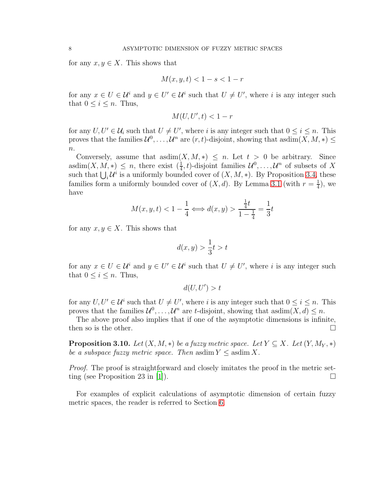for any  $x, y \in X$ . This shows that

$$
M(x, y, t) < 1 - s < 1 - r
$$

for any  $x \in U \in \mathcal{U}^i$  and  $y \in U' \in \mathcal{U}^i$  such that  $U \neq U'$ , where i is any integer such that  $0 \leq i \leq n$ . Thus,

$$
M(U, U', t) < 1 - r
$$

for any  $U, U' \in \mathcal{U}_i$  such that  $U \neq U'$ , where i is any integer such that  $0 \leq i \leq n$ . This proves that the families  $\mathcal{U}^0, \ldots, \mathcal{U}^n$  are  $(r, t)$ -disjoint, showing that asdim $(X, M, *) \leq$  $n$ .

Conversely, assume that asdim $(X, M, *) \leq n$ . Let  $t > 0$  be arbitrary. Since asdim $(X, M, *) \leq n$ , there exist  $(\frac{1}{4}, t)$ -disjoint families  $\mathcal{U}^0, \ldots, \mathcal{U}^n$  of subsets of X such that  $\bigcup_i \mathcal{U}^i$  is a uniformly bounded cover of  $(X, M, *)$ . By Proposition [3.4,](#page-5-2) these families form a uniformly bounded cover of  $(X, d)$ . By Lemma [3.1](#page-5-1) (with  $r = \frac{1}{4}$ )  $(\frac{1}{4})$ , we have

$$
M(x, y, t) < 1 - \frac{1}{4} \Longleftrightarrow d(x, y) > \frac{\frac{1}{4}t}{1 - \frac{1}{4}} = \frac{1}{3}t
$$

for any  $x, y \in X$ . This shows that

$$
d(x, y) > \frac{1}{3}t > t
$$

for any  $x \in U \in \mathcal{U}^i$  and  $y \in U' \in \mathcal{U}^i$  such that  $U \neq U'$ , where i is any integer such that  $0 \leq i \leq n$ . Thus,

$$
d(U, U') > t
$$

for any  $U, U' \in \mathcal{U}^i$  such that  $U \neq U'$ , where i is any integer such that  $0 \leq i \leq n$ . This proves that the families  $\mathcal{U}^0, \ldots, \mathcal{U}^n$  are t-disjoint, showing that asdim $(X, d) \leq n$ .

The above proof also implies that if one of the asymptotic dimensions is infinite, then so is the other.  $\Box$ 

**Proposition 3.10.** *Let*  $(X, M, *)$  *be a fuzzy metric space. Let*  $Y \subseteq X$ *. Let*  $(Y, M_Y, *)$ *be a subspace fuzzy metric space. Then* asdim  $Y \leq$  asdim X.

*Proof.* The proof is straightforward and closely imitates the proof in the metric set-ting (see Proposition 23 in [\[1](#page-19-2)]).

For examples of explicit calculations of asymptotic dimension of certain fuzzy metric spaces, the reader is referred to Section [6.](#page-15-0)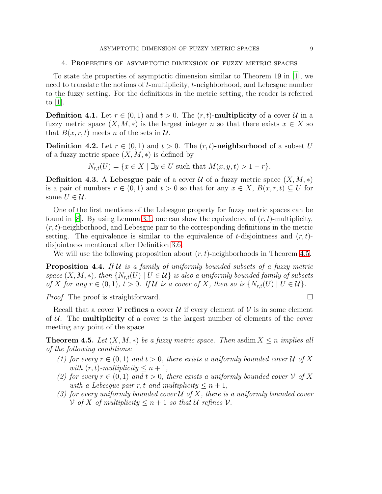#### <span id="page-8-0"></span>4. Properties of asymptotic dimension of fuzzy metric spaces

To state the properties of asymptotic dimension similar to Theorem 19 in [\[1\]](#page-19-2), we need to translate the notions of t-multiplicity, t-neighborhood, and Lebesgue number to the fuzzy setting. For the definitions in the metric setting, the reader is referred to [\[1\]](#page-19-2).

**Definition 4.1.** Let  $r \in (0,1)$  and  $t > 0$ . The  $(r, t)$ -multiplicity of a cover U in a fuzzy metric space  $(X, M, *)$  is the largest integer n so that there exists  $x \in X$  so that  $B(x, r, t)$  meets n of the sets in  $\mathcal{U}$ .

**Definition 4.2.** Let  $r \in (0,1)$  and  $t > 0$ . The  $(r, t)$ -neighborhood of a subset U of a fuzzy metric space  $(X, M, *)$  is defined by

 $N_{r,t}(U) = \{x \in X \mid \exists y \in U \text{ such that } M(x, y, t) > 1 - r\}.$ 

**Definition 4.3.** A Lebesgue pair of a cover  $U$  of a fuzzy metric space  $(X, M, *)$ is a pair of numbers  $r \in (0,1)$  and  $t > 0$  so that for any  $x \in X$ ,  $B(x, r, t) \subseteq U$  for some  $U \in \mathcal{U}$ .

One of the first mentions of the Lebesgue property for fuzzy metric spaces can be found in [\[8\]](#page-20-16). By using Lemma [3.1,](#page-5-1) one can show the equivalence of  $(r, t)$ -multiplicity,  $(r, t)$ -neighborhood, and Lebesgue pair to the corresponding definitions in the metric setting. The equivalence is similar to the equivalence of t-disjointness and  $(r, t)$ disjointness mentioned after Definition [3.6.](#page-6-0)

We will use the following proposition about  $(r, t)$ -neighborhoods in Theorem [4.5.](#page-8-1)

<span id="page-8-2"></span>Proposition 4.4. *If* U *is a family of uniformly bounded subsets of a fuzzy metric space*  $(X, M, *)$ *, then*  $\{N_{r,t}(U) \mid U \in \mathcal{U}\}\$ is also a uniformly bounded family of subsets *of* X for any  $r \in (0,1)$ ,  $t > 0$ . If U is a cover of X, then so is  $\{N_{r,t}(U) \mid U \in U\}$ .

*Proof.* The proof is straightforward. □

Recall that a cover  $\mathcal V$  refines a cover  $\mathcal U$  if every element of  $\mathcal V$  is in some element of  $U$ . The **multiplicity** of a cover is the largest number of elements of the cover meeting any point of the space.

<span id="page-8-3"></span><span id="page-8-1"></span>**Theorem 4.5.** Let  $(X, M, *)$  be a fuzzy metric space. Then asdim  $X \leq n$  implies all *of the following conditions:*

- *(1) for every*  $r \in (0,1)$  *and*  $t > 0$ *, there exists a uniformly bounded cover*  $\mathcal{U}$  *of*  $X$ *with*  $(r, t)$ *-multiplicity*  $\leq n + 1$ *,*
- <span id="page-8-4"></span>*(2) for every*  $r \in (0,1)$  *and*  $t > 0$ *, there exists a uniformly bounded cover*  $V$  *of* X *with a Lebesque pair*  $r, t$  *and multiplicity*  $\leq n+1$ ,
- <span id="page-8-5"></span>*(3) for every uniformly bounded cover* U *of* X*, there is a uniformly bounded cover*  $V$  *of* X *of multiplicity*  $\leq n+1$  *so that*  $U$  *refines*  $V$ .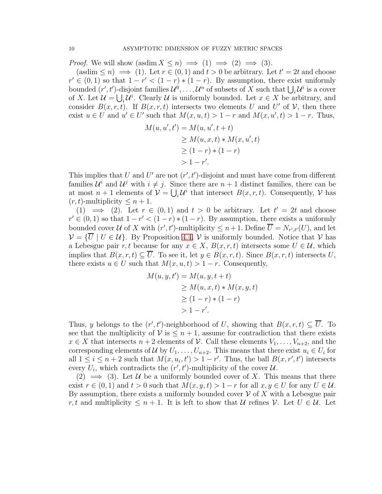*Proof.* We will show  $(\text{asdim } X \leq n) \implies (1) \implies (2) \implies (3)$ .

 $(\text{asdim} \leq n) \implies (1)$ . Let  $r \in (0,1)$  and  $t > 0$  be arbitrary. Let  $t' = 2t$  and choose  $r' \in (0,1)$  so that  $1-r' < (1-r)*(1-r)$ . By assumption, there exist uniformly bounded  $(r',t')$ -disjoint families  $\mathcal{U}^0,\ldots,\mathcal{U}^n$  of subsets of X such that  $\bigcup_i \mathcal{U}^i$  is a cover of X. Let  $\mathcal{U} = \bigcup_i \mathcal{U}^i$ . Clearly  $\mathcal{U}$  is uniformly bounded. Let  $x \in X$  be arbitrary, and consider  $B(x, r, t)$ . If  $B(x, r, t)$  intersects two elements U and U' of V, then there exist  $u \in U$  and  $u' \in U'$  such that  $M(x, u, t) > 1 - r$  and  $M(x, u', t) > 1 - r$ . Thus,

$$
M(u, u', t') = M(u, u', t + t)
$$
  
\n
$$
\geq M(u, x, t) * M(x, u', t)
$$
  
\n
$$
\geq (1 - r) * (1 - r)
$$
  
\n
$$
> 1 - r'.
$$

This implies that U and U' are not  $(r', t')$ -disjoint and must have come from different families  $\mathcal{U}^i$  and  $\mathcal{U}^j$  with  $i \neq j$ . Since there are  $n+1$  distinct families, there can be at most  $n+1$  elements of  $\mathcal{V} = \bigcup_i \mathcal{U}^i$  that intersect  $B(x, r, t)$ . Consequently,  $\mathcal{V}$  has  $(r, t)$ -multiplicity  $\leq n+1$ .

(1)  $\implies$  (2). Let  $r \in (0,1)$  and  $t > 0$  be arbitrary. Let  $t' = 2t$  and choose  $r' \in (0,1)$  so that  $1-r' < (1-r)*(1-r)$ . By assumption, there exists a uniformly bounded cover U of X with  $(r', t')$ -multiplicity  $\leq n+1$ . Define  $\overline{U} = N_{r', t'}(U)$ , and let  $V = \{ \overline{U} \mid U \in \mathcal{U} \}$ . By Proposition [4.4,](#page-8-2) V is uniformly bounded. Notice that V has a Lebesgue pair r, t because for any  $x \in X$ ,  $B(x, r, t)$  intersects some  $U \in \mathcal{U}$ , which implies that  $B(x, r, t) \subseteq \overline{U}$ . To see it, let  $y \in B(x, r, t)$ . Since  $B(x, r, t)$  intersects U, there exists  $u \in U$  such that  $M(x, u, t) > 1 - r$ . Consequently,

$$
M(u, y, t') = M(u, y, t + t)
$$
  
\n
$$
\geq M(u, x, t) * M(x, y, t)
$$
  
\n
$$
\geq (1 - r) * (1 - r)
$$
  
\n
$$
> 1 - r'.
$$

Thus, y belongs to the  $(r', t')$ -neighborhood of U, showing that  $B(x, r, t) \subseteq \overline{U}$ . To see that the multiplicity of  $\mathcal V$  is  $\leq n+1$ , assume for contradiction that there exists  $x \in X$  that intersects  $n+2$  elements of  $\mathcal V$ . Call these elements  $V_1, \ldots, V_{n+2}$ , and the corresponding elements of U by  $U_1, \ldots, U_{n+2}$ . This means that there exist  $u_i \in U_i$  for all  $1 \leq i \leq n+2$  such that  $M(x, u_i, t') > 1-r'$ . Thus, the ball  $B(x, r', t')$  intersects every  $U_i$ , which contradicts the  $(r', t')$ -multiplicity of the cover  $\mathcal{U}$ .

 $(2) \implies (3)$ . Let U be a uniformly bounded cover of X. This means that there exist  $r \in (0,1)$  and  $t > 0$  such that  $M(x, y, t) > 1-r$  for all  $x, y \in U$  for any  $U \in \mathcal{U}$ . By assumption, there exists a uniformly bounded cover  $\mathcal V$  of X with a Lebesgue pair r, t and multiplicity  $\leq n+1$ . It is left to show that U refines V. Let  $U \in U$ . Let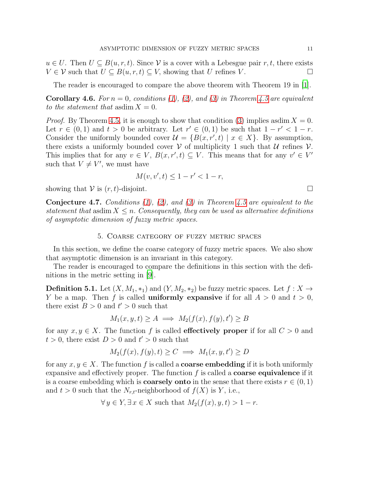$u \in U$ . Then  $U \subseteq B(u, r, t)$ . Since V is a cover with a Lebesgue pair r, t, there exists  $V \in \mathcal{V}$  such that  $U \subseteq B(u, r, t) \subseteq V$ , showing that U refines V.

The reader is encouraged to compare the above theorem with Theorem 19 in [\[1\]](#page-19-2).

**Corollary 4.6.** For  $n = 0$ , conditions [\(1\)](#page-8-3), [\(2\)](#page-8-4), and [\(3\)](#page-8-5) in Theorem [4.5](#page-8-1) are equivalent *to the statement that* asdim  $X = 0$ .

*Proof.* By Theorem [4.5,](#page-8-1) it is enough to show that condition [\(3\)](#page-8-5) implies asdim  $X = 0$ . Let  $r \in (0,1)$  and  $t > 0$  be arbitrary. Let  $r' \in (0,1)$  be such that  $1-r' < 1-r$ . Consider the uniformly bounded cover  $\mathcal{U} = \{B(x, r', t) \mid x \in X\}$ . By assumption, there exists a uniformly bounded cover V of multiplicity 1 such that U refines  $\mathcal V$ . This implies that for any  $v \in V$ ,  $B(x, r', t) \subseteq V$ . This means that for any  $v' \in V'$ such that  $V \neq V'$ , we must have

$$
M(v, v', t) \le 1 - r' < 1 - r,
$$

showing that  $V$  is  $(r, t)$ -disjoint.

Conjecture 4.7. *Conditions [\(1\)](#page-8-3), [\(2\)](#page-8-4), and [\(3\)](#page-8-5) in Theorem [4.5](#page-8-1) are equivalent to the statement that* asdim  $X \leq n$ . *Consequently, they can be used as alternative definitions of asymptotic dimension of fuzzy metric spaces.*

## 5. Coarse category of fuzzy metric spaces

<span id="page-10-0"></span>In this section, we define the coarse category of fuzzy metric spaces. We also show that asymptotic dimension is an invariant in this category.

The reader is encouraged to compare the definitions in this section with the definitions in the metric setting in [\[9](#page-20-17)].

**Definition 5.1.** Let  $(X, M_1, *_1)$  and  $(Y, M_2, *_2)$  be fuzzy metric spaces. Let  $f : X \to Y$ Y be a map. Then f is called **uniformly expansive** if for all  $A > 0$  and  $t > 0$ , there exist  $B > 0$  and  $t' > 0$  such that

$$
M_1(x, y, t) \ge A \implies M_2(f(x), f(y), t') \ge B
$$

for any  $x, y \in X$ . The function f is called **effectively proper** if for all  $C > 0$  and  $t > 0$ , there exist  $D > 0$  and  $t' > 0$  such that

$$
M_2(f(x), f(y), t) \ge C \implies M_1(x, y, t') \ge D
$$

for any  $x, y \in X$ . The function f is called a **coarse embedding** if it is both uniformly expansive and effectively proper. The function  $f$  is called a **coarse equivalence** if it is a coarse embedding which is **coarsely onto** in the sense that there exists  $r \in (0, 1)$ and  $t > 0$  such that the  $N_{r,t}$ -neighborhood of  $f(X)$  is Y, i.e.,

$$
\forall y \in Y, \exists x \in X \text{ such that } M_2(f(x), y, t) > 1 - r.
$$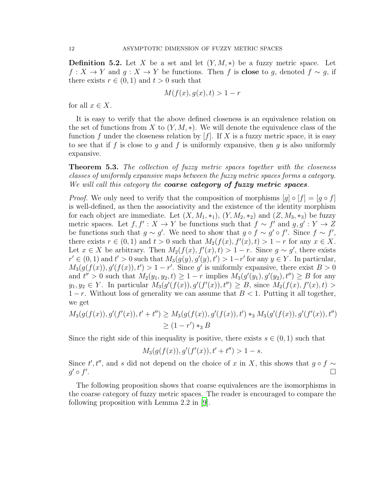**Definition 5.2.** Let X be a set and let  $(Y, M, *)$  be a fuzzy metric space. Let  $f: X \to Y$  and  $g: X \to Y$  be functions. Then f is **close** to g, denoted  $f \sim g$ , if there exists  $r \in (0,1)$  and  $t > 0$  such that

$$
M(f(x), g(x), t) > 1 - r
$$

for all  $x \in X$ .

It is easy to verify that the above defined closeness is an equivalence relation on the set of functions from X to  $(Y, M, *)$ . We will denote the equivalence class of the function f under the closeness relation by  $[f]$ . If X is a fuzzy metric space, it is easy to see that if f is close to g and f is uniformly expansive, then g is also uniformly expansive.

Theorem 5.3. *The collection of fuzzy metric spaces together with the closeness classes of uniformly expansive maps between the fuzzy metric spaces forms a category. We will call this category the* coarse category of fuzzy metric spaces*.*

*Proof.* We only need to verify that the composition of morphisms  $[q] \circ [f] = [q \circ f]$ is well-defined, as then the associativity and the existence of the identity morphism for each object are immediate. Let  $(X, M_1, *_1)$ ,  $(Y, M_2, *_2)$  and  $(Z, M_3, *_3)$  be fuzzy metric spaces. Let  $f, f' : X \to Y$  be functions such that  $f \sim f'$  and  $g, g' : Y \to Z$ be functions such that  $g \sim g'$ . We need to show that  $g \circ f \sim g' \circ f'$ . Since  $f \sim f'$ , there exists  $r \in (0,1)$  and  $t > 0$  such that  $M_2(f(x), f'(x), t) > 1 - r$  for any  $x \in X$ . Let  $x \in X$  be arbitrary. Then  $M_2(f(x), f'(x), t) > 1 - r$ . Since  $g \sim g'$ , there exists  $r' \in (0,1)$  and  $t' > 0$  such that  $M_3(g(y), g'(y), t') > 1-r'$  for any  $y \in Y$ . In particular,  $M_3(g(f(x)), g'(f(x)), t') > 1 - r'$ . Since g' is uniformly expansive, there exist  $B > 0$ and  $t'' > 0$  such that  $M_2(y_1, y_2, t) \geq 1 - r$  implies  $M_3(g'(y_1), g'(y_2), t'') \geq B$  for any  $y_1, y_2 \in Y$ . In particular  $M_3(g'(f(x)), g'(f'(x)), t'') \geq B$ , since  $M_2(f(x), f'(x), t) >$  $1-r$ . Without loss of generality we can assume that  $B < 1$ . Putting it all together, we get

$$
M_3(g(f(x)), g'(f'(x)), t' + t'') \ge M_3(g(f(x)), g'(f(x)), t') *_{3} M_3(g'(f(x)), g'(f'(x)), t'')
$$
  
\n
$$
\ge (1 - r') *_{3} B
$$

Since the right side of this inequality is positive, there exists  $s \in (0,1)$  such that

$$
M_3(g(f(x)), g'(f'(x)), t' + t'') > 1 - s.
$$

Since  $t', t''$ , and s did not depend on the choice of x in X, this shows that  $g \circ f \sim$  $g' \circ f'$ .

The following proposition shows that coarse equivalences are the isomorphisms in the coarse category of fuzzy metric spaces. The reader is encouraged to compare the following proposition with Lemma 2.2 in [\[9](#page-20-17)].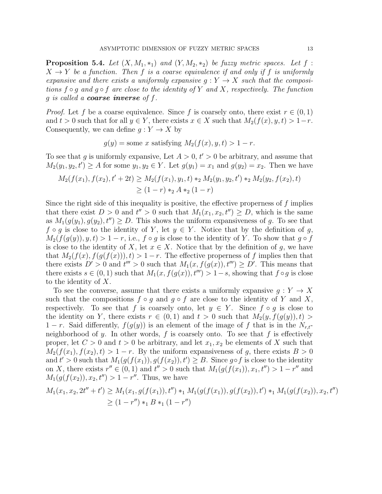<span id="page-12-0"></span>**Proposition 5.4.** Let  $(X, M_1, *_1)$  and  $(Y, M_2, *_2)$  be fuzzy metric spaces. Let f:  $X \to Y$  be a function. Then f is a coarse equivalence if and only if f is uniformly *expansive and there exists a uniformly expansive*  $g: Y \to X$  *such that the compositions* f ◦ g *and* g ◦ f *are close to the identity of* Y *and* X*, respectively. The function* g *is called a* coarse inverse *of* f*.*

*Proof.* Let f be a coarse equivalence. Since f is coarsely onto, there exist  $r \in (0,1)$ and  $t > 0$  such that for all  $y \in Y$ , there exists  $x \in X$  such that  $M_2(f(x), y, t) > 1-r$ . Consequently, we can define  $g: Y \to X$  by

$$
g(y)
$$
 = some x satisfying  $M_2(f(x), y, t) > 1 - r$ .

To see that g is uniformly expansive, Let  $A > 0$ ,  $t' > 0$  be arbitrary, and assume that  $M_2(y_1, y_2, t') \ge A$  for some  $y_1, y_2 \in Y$ . Let  $g(y_1) = x_1$  and  $g(y_2) = x_2$ . Then we have

$$
M_2(f(x_1), f(x_2), t' + 2t) \ge M_2(f(x_1), y_1, t) *_{2} M_2(y_1, y_2, t') *_{2} M_2(y_2, f(x_2), t)
$$
  
\n
$$
\ge (1 - r) *_{2} A *_{2} (1 - r)
$$

Since the right side of this inequality is positive, the effective properness of f implies that there exist  $D > 0$  and  $t'' > 0$  such that  $M_1(x_1, x_2, t'') \geq D$ , which is the same as  $M_1(g(y_1), g(y_2), t'') \ge D$ . This shows the uniform expansiveness of g. To see that  $f \circ g$  is close to the identity of Y, let  $y \in Y$ . Notice that by the definition of g,  $M_2(f(g(y)), y, t) > 1-r$ , i.e.,  $f \circ g$  is close to the identity of Y. To show that  $g \circ f$ is close to the identity of X, let  $x \in X$ . Notice that by the definition of g, we have that  $M_2(f(x), f(g(f(x))), t) > 1-r$ . The effective properness of f implies then that there exists  $D' > 0$  and  $t''' > 0$  such that  $M_1(x, f(g(x)), t''') \ge D'$ . This means that there exists  $s \in (0, 1)$  such that  $M_1(x, f(g(x)), t''') > 1 - s$ , showing that  $f \circ g$  is close to the identity of X.

To see the converse, assume that there exists a uniformly expansive  $g: Y \to X$ such that the compositions  $f \circ g$  and  $g \circ f$  are close to the identity of Y and X, respectively. To see that f is coarsely onto, let  $y \in Y$ . Since  $f \circ g$  is close to the identity on Y, there exists  $r \in (0,1)$  and  $t > 0$  such that  $M_2(y, f(q(y)), t) >$  $1 - r$ . Said differently,  $f(g(y))$  is an element of the image of f that is in the  $N_{r,t}$ neighborhood of y. In other words,  $f$  is coarsely onto. To see that  $f$  is effectively proper, let  $C > 0$  and  $t > 0$  be arbitrary, and let  $x_1, x_2$  be elements of X such that  $M_2(f(x_1), f(x_2), t) > 1 - r$ . By the uniform expansiveness of g, there exists  $B > 0$ and  $t' > 0$  such that  $M_1(g(f(x_1)), g(f(x_2)), t') \geq B$ . Since g∘f is close to the identity on X, there exists  $r'' \in (0,1)$  and  $t'' > 0$  such that  $M_1(g(f(x_1)), x_1, t'') > 1 - r''$  and  $M_1(g(f(x_2)), x_2, t'') > 1 - r''$ . Thus, we have

$$
M_1(x_1, x_2, 2t'' + t') \ge M_1(x_1, g(f(x_1)), t'') *_1 M_1(g(f(x_1)), g(f(x_2)), t') *_1 M_1(g(f(x_2)), x_2, t'')
$$
  
\n
$$
\ge (1 - r'') *_1 B *_1 (1 - r'')
$$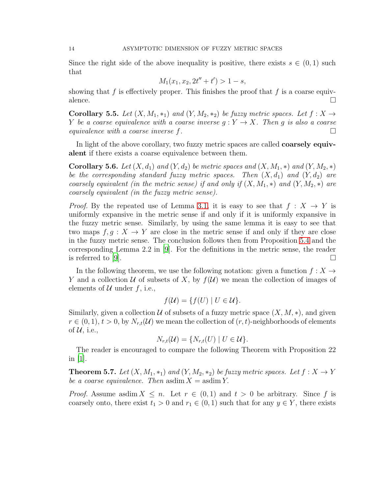Since the right side of the above inequality is positive, there exists  $s \in (0,1)$  such that

$$
M_1(x_1, x_2, 2t'' + t') > 1 - s,
$$

showing that f is effectively proper. This finishes the proof that f is a coarse equivalence.  $\Box$ 

**Corollary 5.5.** *Let*  $(X, M_1, *_1)$  *and*  $(Y, M_2, *_2)$  *be fuzzy metric spaces. Let*  $f : X \rightarrow$ *Y be a coarse equivalence with a coarse inverse*  $g: Y \to X$ *. Then* g *is also a coarse equivalence with a coarse inverse* f*.*

In light of the above corollary, two fuzzy metric spaces are called **coarsely equiv**alent if there exists a coarse equivalence between them.

**Corollary 5.6.** *Let*  $(X, d_1)$  *and*  $(Y, d_2)$  *be metric spaces and*  $(X, M_1, *)$  *and*  $(Y, M_2, *)$ *be the corresponding standard fuzzy metric spaces. Then*  $(X, d_1)$  *and*  $(Y, d_2)$  *are coarsely equivalent (in the metric sense) if and only if*  $(X, M_1, *)$  *and*  $(Y, M_2, *)$  *are coarsely equivalent (in the fuzzy metric sense).*

*Proof.* By the repeated use of Lemma [3.1,](#page-5-1) it is easy to see that  $f: X \to Y$  is uniformly expansive in the metric sense if and only if it is uniformly expansive in the fuzzy metric sense. Similarly, by using the same lemma it is easy to see that two maps  $f, g: X \to Y$  are close in the metric sense if and only if they are close in the fuzzy metric sense. The conclusion follows then from Proposition [5.4](#page-12-0) and the corresponding Lemma 2.2 in [\[9](#page-20-17)]. For the definitions in the metric sense, the reader is referred to [\[9\]](#page-20-17).  $\Box$ 

In the following theorem, we use the following notation: given a function  $f: X \to$ Y and a collection U of subsets of X, by  $f(\mathcal{U})$  we mean the collection of images of elements of  $\mathcal U$  under f, i.e.,

$$
f(\mathcal{U}) = \{ f(U) \mid U \in \mathcal{U} \}.
$$

Similarly, given a collection U of subsets of a fuzzy metric space  $(X, M, *)$ , and given  $r \in (0, 1), t > 0$ , by  $N_{r,t}(\mathcal{U})$  we mean the collection of  $(r, t)$ -neighborhoods of elements of  $\mathcal{U}$ , i.e.,

$$
N_{r,t}(\mathcal{U}) = \{N_{r,t}(U) \mid U \in \mathcal{U}\}.
$$

The reader is encouraged to compare the following Theorem with Proposition 22 in [\[1\]](#page-19-2).

**Theorem 5.7.** *Let*  $(X, M_1, *_1)$  *and*  $(Y, M_2, *_2)$  *be fuzzy metric spaces. Let*  $f : X \to Y$ *be a coarse equivalence. Then* asdim  $X =$  asdim  $Y$ .

*Proof.* Assume asdim  $X \leq n$ . Let  $r \in (0,1)$  and  $t > 0$  be arbitrary. Since f is coarsely onto, there exist  $t_1 > 0$  and  $r_1 \in (0, 1)$  such that for any  $y \in Y$ , there exists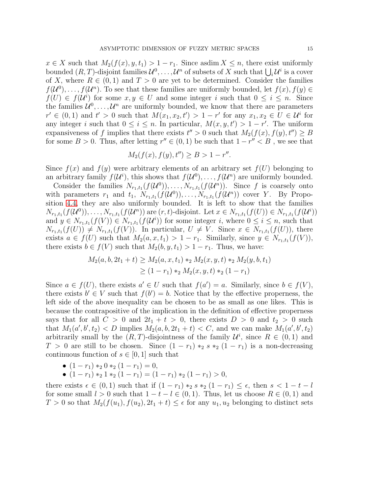$x \in X$  such that  $M_2(f(x), y, t_1) > 1 - r_1$ . Since asdim  $X \leq n$ , there exist uniformly bounded  $(R, T)$ -disjoint families  $\mathcal{U}^0, \ldots, \mathcal{U}^n$  of subsets of X such that  $\bigcup_i \mathcal{U}^i$  is a cover of X, where  $R \in (0,1)$  and  $T > 0$  are yet to be determined. Consider the families  $f(\mathcal{U}^0), \ldots, f(\mathcal{U}^n)$ . To see that these families are uniformly bounded, let  $f(x), f(y) \in$  $f(U) \in f(U^i)$  for some  $x, y \in U$  and some integer i such that  $0 \leq i \leq n$ . Since the families  $\mathcal{U}^0, \ldots, \mathcal{U}^n$  are uniformly bounded, we know that there are parameters  $r' \in (0,1)$  and  $t' > 0$  such that  $M(x_1, x_2, t') > 1 - r'$  for any  $x_1, x_2 \in U \in \mathcal{U}^i$  for any integer i such that  $0 \leq i \leq n$ . In particular,  $M(x, y, t') > 1 - r'$ . The uniform expansiveness of f implies that there exists  $t'' > 0$  such that  $M_2(f(x), f(y), t'') \geq B$ for some  $B > 0$ . Thus, after letting  $r'' \in (0, 1)$  be such that  $1 - r'' < B$ , we see that

$$
M_2(f(x), f(y), t'') \ge B > 1 - r''.
$$

Since  $f(x)$  and  $f(y)$  were arbitrary elements of an arbitrary set  $f(U)$  belonging to an arbitrary family  $f(\mathcal{U}^i)$ , this shows that  $f(\mathcal{U}^0)$ , ...,  $f(\mathcal{U}^n)$  are uniformly bounded.

Consider the families  $N_{r_1,t_1}(f(\mathcal{U}^0)), \ldots, N_{r_1,t_1}(f(\mathcal{U}^n)).$  Since f is coarsely onto with parameters  $r_1$  and  $t_1$ ,  $N_{r_1,t_1}(f(\mathcal{U}^0))$ , ...,  $N_{r_1,t_1}(f(\mathcal{U}^n))$  cover Y. By Proposition [4.4,](#page-8-2) they are also uniformly bounded. It is left to show that the families  $N_{r_1,t_1}(f(\mathcal{U}^0)), \ldots, N_{r_1,t_1}(f(\mathcal{U}^n))$  are  $(r, t)$ -disjoint. Let  $x \in N_{r_1,t_1}(f(U)) \in N_{r_1,t_1}(f(\mathcal{U}^i))$ and  $y \in N_{r_1,t_1}(f(V)) \in N_{r_1,t_1}(f(\mathcal{U}^i))$  for some integer i, where  $0 \leq i \leq n$ , such that  $N_{r_1,t_1}(f(U)) \neq N_{r_1,t_1}(f(V))$ . In particular,  $U \neq V$ . Since  $x \in N_{r_1,t_1}(f(U))$ , there exists  $a \in f(U)$  such that  $M_2(a, x, t_1) > 1 - r_1$ . Similarly, since  $y \in N_{r_1, t_1}(f(V))$ , there exists  $b \in f(V)$  such that  $M_2(b, y, t_1) > 1 - r_1$ . Thus, we have:

$$
M_2(a, b, 2t_1 + t) \ge M_2(a, x, t_1) *_{2} M_2(x, y, t) *_{2} M_2(y, b, t_1)
$$
  
 
$$
\ge (1 - r_1) *_{2} M_2(x, y, t) *_{2} (1 - r_1)
$$

Since  $a \in f(U)$ , there exists  $a' \in U$  such that  $f(a') = a$ . Similarly, since  $b \in f(V)$ , there exists  $b' \in V$  such that  $f(b') = b$ . Notice that by the effective properness, the left side of the above inequality can be chosen to be as small as one likes. This is because the contrapositive of the implication in the definition of effective properness says that for all  $C > 0$  and  $2t_1 + t > 0$ , there exists  $D > 0$  and  $t_2 > 0$  such that  $M_1(a', b', t_2) < D$  implies  $M_2(a, b, 2t_1 + t) < C$ , and we can make  $M_1(a', b', t_2)$ arbitrarily small by the  $(R, T)$ -disjointness of the family  $\mathcal{U}^i$ , since  $R \in (0, 1)$  and  $T > 0$  are still to be chosen. Since  $(1 - r_1) *_{2} s *_{2} (1 - r_1)$  is a non-decreasing continuous function of  $s \in [0, 1]$  such that

- $(1 r_1) *_2 0 *_2 (1 r_1) = 0$ ,
- $(1 r_1) *_{2} 1 *_{2} (1 r_1) = (1 r_1) *_{2} (1 r_1) > 0,$

there exists  $\epsilon \in (0,1)$  such that if  $(1 - r_1) *_{2} s *_{2} (1 - r_1) \leq \epsilon$ , then  $s < 1 - t - l$ for some small  $l > 0$  such that  $1 - t - l \in (0, 1)$ . Thus, let us choose  $R \in (0, 1)$  and  $T > 0$  so that  $M_2(f(u_1), f(u_2), 2t_1 + t) \leq \epsilon$  for any  $u_1, u_2$  belonging to distinct sets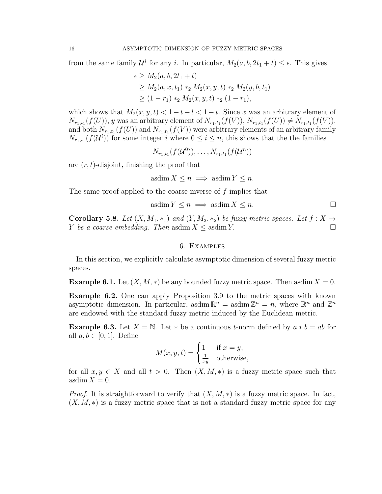from the same family  $\mathcal{U}^i$  for any i. In particular,  $M_2(a, b, 2t_1 + t) \leq \epsilon$ . This gives

$$
\epsilon \ge M_2(a, b, 2t_1 + t)
$$
  
\n
$$
\ge M_2(a, x, t_1) *_{2} M_2(x, y, t) *_{2} M_2(y, b, t_1)
$$
  
\n
$$
\ge (1 - r_1) *_{2} M_2(x, y, t) *_{2} (1 - r_1),
$$

which shows that  $M_2(x, y, t) < 1 - t - l < 1 - t$ . Since x was an arbitrary element of  $N_{r_1,t_1}(f(U))$ , y was an arbitrary element of  $N_{r_1,t_1}(f(V))$ ,  $N_{r_1,t_1}(f(U)) \neq N_{r_1,t_1}(f(V))$ , and both  $N_{r_1,t_1}(f(U))$  and  $N_{r_1,t_1}(f(V))$  were arbitrary elements of an arbitrary family  $N_{r_1,t_1}(f(\mathcal{U}^i))$  for some integer i where  $0 \leq i \leq n$ , this shows that the the families

$$
N_{r_1,t_1}(f(\mathcal{U}^0)), \ldots, N_{r_1,t_1}(f(\mathcal{U}^n))
$$

are  $(r, t)$ -disjoint, finishing the proof that

$$
\text{asdim}\, X \le n \implies \text{asdim}\, Y \le n.
$$

The same proof applied to the coarse inverse of  $f$  implies that

$$
asdim Y \le n \implies asdim X \le n.
$$

<span id="page-15-0"></span>**Corollary 5.8.** Let  $(X, M_1, *_1)$  and  $(Y, M_2, *_2)$  be fuzzy metric spaces. Let  $f : X \to$ *Y be a coarse embedding. Then* asdim  $X \leq$  asdim  $Y$ .

### 6. Examples

In this section, we explicitly calculate asymptotic dimension of several fuzzy metric spaces.

<span id="page-15-2"></span>**Example 6.1.** Let  $(X, M, *)$  be any bounded fuzzy metric space. Then asdim  $X = 0$ .

Example 6.2. One can apply Proposition 3.9 to the metric spaces with known asymptotic dimension. In particular, asdim  $\mathbb{R}^n = \text{asdim }\mathbb{Z}^n = n$ , where  $\mathbb{R}^n$  and  $\mathbb{Z}^n$ are endowed with the standard fuzzy metric induced by the Euclidean metric.

<span id="page-15-1"></span>**Example 6.3.** Let  $X = \mathbb{N}$ . Let  $*$  be a continuous *t*-norm defined by  $a * b = ab$  for all  $a, b \in [0, 1]$ . Define

$$
M(x, y, t) = \begin{cases} 1 & \text{if } x = y, \\ \frac{1}{xy} & \text{otherwise,} \end{cases}
$$

for all  $x, y \in X$  and all  $t > 0$ . Then  $(X, M, *)$  is a fuzzy metric space such that  $\operatorname{asdim} X = 0.$ 

*Proof.* It is straightforward to verify that  $(X, M, *)$  is a fuzzy metric space. In fact,  $(X, M, *)$  is a fuzzy metric space that is not a standard fuzzy metric space for any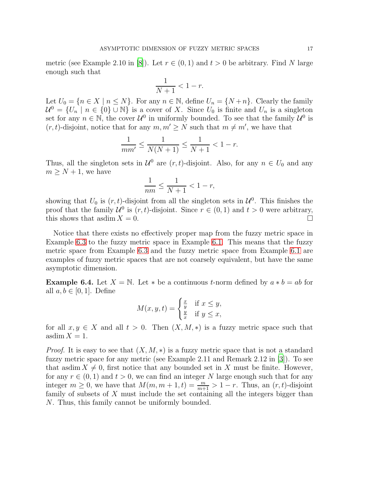metric (see Example 2.10 in [\[8\]](#page-20-16)). Let  $r \in (0,1)$  and  $t > 0$  be arbitrary. Find N large enough such that

$$
\frac{1}{N+1} < 1 - r.
$$

Let  $U_0 = \{n \in X \mid n \leq N\}$ . For any  $n \in \mathbb{N}$ , define  $U_n = \{N+n\}$ . Clearly the family  $\mathcal{U}^0 = \{U_n \mid n \in \{0\} \cup \mathbb{N}\}\$ is a cover of X. Since  $U_0$  is finite and  $U_n$  is a singleton set for any  $n \in \mathbb{N}$ , the cover  $\mathcal{U}^0$  in uniformly bounded. To see that the family  $\mathcal{U}^0$  is  $(r, t)$ -disjoint, notice that for any  $m, m' \geq N$  such that  $m \neq m'$ , we have that

$$
\frac{1}{m m'} \le \frac{1}{N(N+1)} \le \frac{1}{N+1} < 1 - r.
$$

Thus, all the singleton sets in  $\mathcal{U}^0$  are  $(r, t)$ -disjoint. Also, for any  $n \in U_0$  and any  $m \geq N + 1$ , we have

$$
\frac{1}{nm}\leq \frac{1}{N+1}<1-r,
$$

showing that  $U_0$  is  $(r, t)$ -disjoint from all the singleton sets in  $\mathcal{U}^0$ . This finishes the proof that the family  $\mathcal{U}^0$  is  $(r, t)$ -disjoint. Since  $r \in (0, 1)$  and  $t > 0$  were arbitrary, this shows that asdim  $X = 0$ .

Notice that there exists no effectively proper map from the fuzzy metric space in Example [6.3](#page-15-1) to the fuzzy metric space in Example [6.1.](#page-15-2) This means that the fuzzy metric space from Example [6.3](#page-15-1) and the fuzzy metric space from Example [6.1](#page-15-2) are examples of fuzzy metric spaces that are not coarsely equivalent, but have the same asymptotic dimension.

**Example 6.4.** Let  $X = \mathbb{N}$ . Let  $*$  be a continuous t-norm defined by  $a * b = ab$  for all  $a, b \in [0, 1]$ . Define

$$
M(x, y, t) = \begin{cases} \frac{x}{y} & \text{if } x \le y, \\ \frac{y}{x} & \text{if } y \le x, \end{cases}
$$

for all  $x, y \in X$  and all  $t > 0$ . Then  $(X, M, *)$  is a fuzzy metric space such that  $\operatorname{asdim} X = 1.$ 

*Proof.* It is easy to see that  $(X, M, *)$  is a fuzzy metric space that is not a standard fuzzy metric space for any metric (see Example 2.11 and Remark 2.12 in [\[3\]](#page-19-1)). To see that asdim  $X \neq 0$ , first notice that any bounded set in X must be finite. However, for any  $r \in (0,1)$  and  $t > 0$ , we can find an integer N large enough such that for any integer  $m \geq 0$ , we have that  $M(m, m + 1, t) = \frac{m}{m+1} > 1 - r$ . Thus, an  $(r, t)$ -disjoint family of subsets of  $X$  must include the set containing all the integers bigger than N. Thus, this family cannot be uniformly bounded.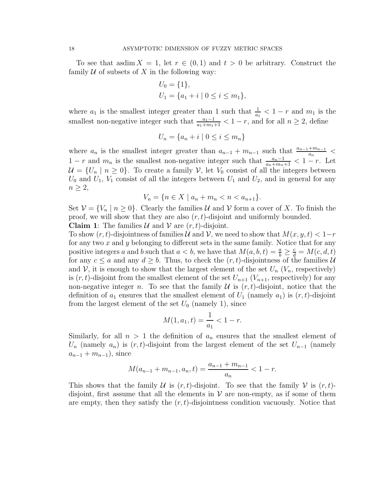To see that asdim  $X = 1$ , let  $r \in (0,1)$  and  $t > 0$  be arbitrary. Construct the family  $U$  of subsets of X in the following way:

$$
U_0 = \{1\},
$$
  
\n
$$
U_1 = \{a_1 + i \mid 0 \le i \le m_1\},
$$

where  $a_1$  is the smallest integer greater than 1 such that  $\frac{1}{a_1} < 1 - r$  and  $m_1$  is the smallest non-negative integer such that  $\frac{a_1-1}{a_1+m_1+1} < 1-r$ , and for all  $n \geq 2$ , define

$$
U_n = \{a_n + i \mid 0 \le i \le m_n\}
$$

where  $a_n$  is the smallest integer greater than  $a_{n-1} + m_{n-1}$  such that  $\frac{a_{n-1} + m_{n-1}}{a_n}$  $1 - r$  and  $m_n$  is the smallest non-negative integer such that  $\frac{a_n-1}{a_n+m_n+1} < 1-r$ . Let  $\mathcal{U} = \{U_n \mid n \geq 0\}$ . To create a family  $\mathcal{V}$ , let  $V_0$  consist of all the integers between  $U_0$  and  $U_1$ ,  $V_1$  consist of all the integers between  $U_1$  and  $U_2$ , and in general for any  $n \geq 2$ ,

$$
V_n = \{ n \in X \mid a_n + m_n < n < a_{n+1} \}.
$$

Set  $\mathcal{V} = \{V_n \mid n \geq 0\}$ . Clearly the families U and V form a cover of X. To finish the proof, we will show that they are also  $(r, t)$ -disjoint and uniformly bounded.

**Claim 1:** The families  $\mathcal U$  and  $\mathcal V$  are  $(r, t)$ -disjoint.

To show  $(r, t)$ -disjointness of families U and V, we need to show that  $M(x, y, t) < 1-r$ for any two  $x$  and  $y$  belonging to different sets in the same family. Notice that for any positive integers a and b such that  $a < b$ , we have that  $M(a, b, t) = \frac{a}{b} \ge \frac{c}{d} = M(c, d, t)$ for any  $c \le a$  and any  $d \ge b$ . Thus, to check the  $(r, t)$ -disjointness of the families U and V, it is enough to show that the largest element of the set  $U_n$  ( $V_n$ , respectively) is  $(r, t)$ -disjoint from the smallest element of the set  $U_{n+1}$   $(V_{n+1}$ , respectively) for any non-negative integer n. To see that the family  $\mathcal U$  is  $(r, t)$ -disjoint, notice that the definition of  $a_1$  ensures that the smallest element of  $U_1$  (namely  $a_1$ ) is  $(r, t)$ -disjoint from the largest element of the set  $U_0$  (namely 1), since

$$
M(1, a_1, t) = \frac{1}{a_1} < 1 - r.
$$

Similarly, for all  $n > 1$  the definition of  $a_n$  ensures that the smallest element of  $U_n$  (namely  $a_n$ ) is  $(r, t)$ -disjoint from the largest element of the set  $U_{n-1}$  (namely  $a_{n-1} + m_{n-1}$ , since

$$
M(a_{n-1} + m_{n-1}, a_n, t) = \frac{a_{n-1} + m_{n-1}}{a_n} < 1 - r.
$$

This shows that the family U is  $(r, t)$ -disjoint. To see that the family V is  $(r, t)$ disjoint, first assume that all the elements in  $V$  are non-empty, as if some of them are empty, then they satisfy the  $(r, t)$ -disjointness condition vacuously. Notice that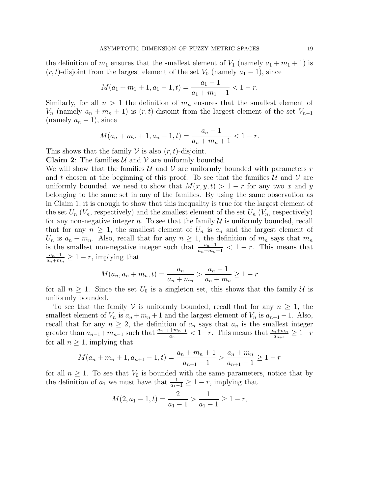the definition of  $m_1$  ensures that the smallest element of  $V_1$  (namely  $a_1 + m_1 + 1$ ) is  $(r, t)$ -disjoint from the largest element of the set  $V_0$  (namely  $a_1 - 1$ ), since

$$
M(a_1 + m_1 + 1, a_1 - 1, t) = \frac{a_1 - 1}{a_1 + m_1 + 1} < 1 - r.
$$

Similarly, for all  $n > 1$  the definition of  $m_n$  ensures that the smallest element of  $V_n$  (namely  $a_n + m_n + 1$ ) is  $(r, t)$ -disjoint from the largest element of the set  $V_{n-1}$ (namely  $a_n - 1$ ), since

$$
M(a_n + m_n + 1, a_n - 1, t) = \frac{a_n - 1}{a_n + m_n + 1} < 1 - r.
$$

This shows that the family  $V$  is also  $(r, t)$ -disjoint.

**Claim 2:** The families  $\mathcal{U}$  and  $\mathcal{V}$  are uniformly bounded.

We will show that the families U and V are uniformly bounded with parameters r and t chosen at the beginning of this proof. To see that the families  $\mathcal U$  and  $\mathcal V$  are uniformly bounded, we need to show that  $M(x, y, t) > 1 - r$  for any two x and y belonging to the same set in any of the families. By using the same observation as in Claim 1, it is enough to show that this inequality is true for the largest element of the set  $U_n$  ( $V_n$ , respectively) and the smallest element of the set  $U_n$  ( $V_n$ , respectively) for any non-negative integer n. To see that the family  $\mathcal U$  is uniformly bounded, recall that for any  $n \geq 1$ , the smallest element of  $U_n$  is  $a_n$  and the largest element of  $U_n$  is  $a_n + m_n$ . Also, recall that for any  $n \geq 1$ , the definition of  $m_n$  says that  $m_n$ is the smallest non-negative integer such that  $\frac{a_n-1}{a_n+m_n+1} < 1-r$ . This means that  $a_n-1$  $\frac{a_n-1}{a_n+m_n} \geq 1-r$ , implying that

$$
M(a_n, a_n + m_n, t) = \frac{a_n}{a_n + m_n} > \frac{a_n - 1}{a_n + m_n} \ge 1 - r
$$

for all  $n \geq 1$ . Since the set  $U_0$  is a singleton set, this shows that the family U is uniformly bounded.

To see that the family V is uniformly bounded, recall that for any  $n \geq 1$ , the smallest element of  $V_n$  is  $a_n + m_n + 1$  and the largest element of  $V_n$  is  $a_{n+1} - 1$ . Also, recall that for any  $n \geq 2$ , the definition of  $a_n$  says that  $a_n$  is the smallest integer greater than  $a_{n-1}+m_{n-1}$  such that  $\frac{a_{n-1}+m_{n-1}}{a_n} < 1-r$ . This means that  $\frac{a_n+m_n}{a_{n+1}} \geq 1-r$ for all  $n \geq 1$ , implying that

$$
M(a_n + m_n + 1, a_{n+1} - 1, t) = \frac{a_n + m_n + 1}{a_{n+1} - 1} > \frac{a_n + m_n}{a_{n+1} - 1} \ge 1 - r
$$

for all  $n \geq 1$ . To see that  $V_0$  is bounded with the same parameters, notice that by the definition of  $a_1$  we must have that  $\frac{1}{a_1-1} \geq 1-r$ , implying that

$$
M(2, a_1 - 1, t) = \frac{2}{a_1 - 1} > \frac{1}{a_1 - 1} \ge 1 - r,
$$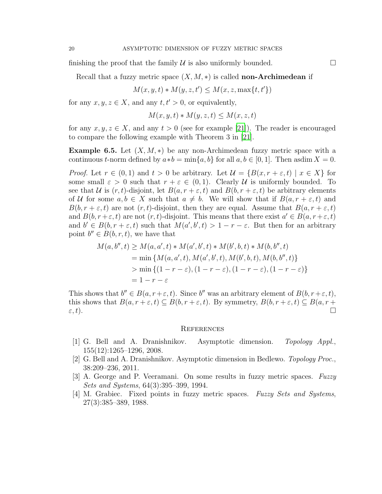finishing the proof that the family  $\mathcal U$  is also uniformly bounded.  $\Box$ 

Recall that a fuzzy metric space  $(X, M, *)$  is called **non-Archimedean** if

$$
M(x, y, t) * M(y, z, t') \le M(x, z, \max\{t, t'\})
$$

for any  $x, y, z \in X$ , and any  $t, t' > 0$ , or equivalently,

$$
M(x, y, t) * M(y, z, t) \le M(x, z, t)
$$

for any  $x, y, z \in X$ , and any  $t > 0$  (see for example [\[21](#page-20-15)]). The reader is encouraged to compare the following example with Theorem 3 in [\[21](#page-20-15)].

**Example 6.5.** Let  $(X, M, *)$  be any non-Archimedean fuzzy metric space with a continuous t-norm defined by  $a*b = \min\{a, b\}$  for all  $a, b \in [0, 1]$ . Then asdim  $X = 0$ .

*Proof.* Let  $r \in (0,1)$  and  $t > 0$  be arbitrary. Let  $\mathcal{U} = \{B(x, r + \varepsilon, t) \mid x \in X\}$  for some small  $\varepsilon > 0$  such that  $r + \varepsilon \in (0, 1)$ . Clearly U is uniformly bounded. To see that U is  $(r, t)$ -disjoint, let  $B(a, r + \varepsilon, t)$  and  $B(b, r + \varepsilon, t)$  be arbitrary elements of U for some  $a, b \in X$  such that  $a \neq b$ . We will show that if  $B(a, r + \varepsilon, t)$  and  $B(b, r + \varepsilon, t)$  are not  $(r, t)$ -disjoint, then they are equal. Assume that  $B(a, r + \varepsilon, t)$ and  $B(b, r+\varepsilon, t)$  are not  $(r, t)$ -disjoint. This means that there exist  $a' \in B(a, r+\varepsilon, t)$ and  $b' \in B(b, r + \varepsilon, t)$  such that  $M(a', b', t) > 1 - r - \varepsilon$ . But then for an arbitrary point  $b'' \in B(b, r, t)$ , we have that

$$
M(a, b'', t) \ge M(a, a', t) * M(a', b', t) * M(b', b, t) * M(b, b'', t)
$$
  
= min { $M(a, a', t), M(a', b', t), M(b', b, t), M(b, b'', t)$ }  
> min { $(1 - r - \varepsilon), (1 - r - \varepsilon), (1 - r - \varepsilon), (1 - r - \varepsilon)$ }  
= 1 - r - \varepsilon

This shows that  $b'' \in B(a, r + \varepsilon, t)$ . Since  $b''$  was an arbitrary element of  $B(b, r + \varepsilon, t)$ , this shows that  $B(a, r + \varepsilon, t) \subseteq B(b, r + \varepsilon, t)$ . By symmetry,  $B(b, r + \varepsilon, t) \subseteq B(a, r + \varepsilon, t)$  $\varepsilon, t$ ).

#### <span id="page-19-0"></span>**REFERENCES**

- <span id="page-19-2"></span>[1] G. Bell and A. Dranishnikov. Asymptotic dimension. *Topology Appl.*, 155(12):1265–1296, 2008.
- <span id="page-19-3"></span>[2] G. Bell and A. Dranishnikov. Asymptotic dimension in Bedlewo. *Topology Proc.*, 38:209–236, 2011.
- <span id="page-19-1"></span>[3] A. George and P. Veeramani. On some results in fuzzy metric spaces. *Fuzzy Sets and Systems*, 64(3):395–399, 1994.
- <span id="page-19-4"></span>[4] M. Grabiec. Fixed points in fuzzy metric spaces. *Fuzzy Sets and Systems*, 27(3):385–389, 1988.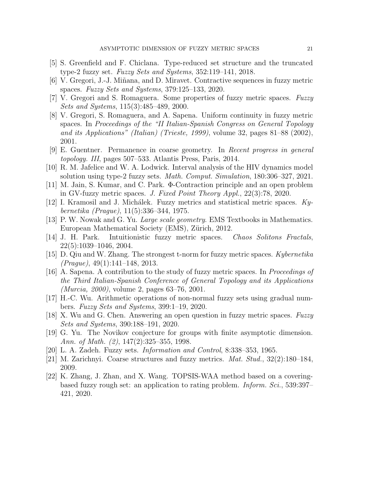- <span id="page-20-1"></span>[5] S. Greenfield and F. Chiclana. Type-reduced set structure and the truncated type-2 fuzzy set. *Fuzzy Sets and Systems*, 352:119–141, 2018.
- <span id="page-20-6"></span>[6] V. Gregori, J.-J. Mi˜nana, and D. Miravet. Contractive sequences in fuzzy metric spaces. *Fuzzy Sets and Systems*, 379:125–133, 2020.
- <span id="page-20-11"></span>[7] V. Gregori and S. Romaguera. Some properties of fuzzy metric spaces. *Fuzzy Sets and Systems*, 115(3):485–489, 2000.
- <span id="page-20-16"></span>[8] V. Gregori, S. Romaguera, and A. Sapena. Uniform continuity in fuzzy metric spaces. In *Proceedings of the "II Italian-Spanish Congress on General Topology and its Applications" (Italian) (Trieste, 1999)*, volume 32, pages 81–88 (2002), 2001.
- <span id="page-20-17"></span>[9] E. Guentner. Permanence in coarse geometry. In *Recent progress in general topology. III*, pages 507–533. Atlantis Press, Paris, 2014.
- <span id="page-20-2"></span>[10] R. M. Jafelice and W. A. Lodwick. Interval analysis of the HIV dynamics model solution using type-2 fuzzy sets. *Math. Comput. Simulation*, 180:306–327, 2021.
- <span id="page-20-7"></span>[11] M. Jain, S. Kumar, and C. Park. Φ-Contraction principle and an open problem in GV-fuzzy metric spaces. *J. Fixed Point Theory Appl.*, 22(3):78, 2020.
- <span id="page-20-5"></span>[12] I. Kramosil and J. Mich´alek. Fuzzy metrics and statistical metric spaces. *Kybernetika (Prague)*, 11(5):336–344, 1975.
- <span id="page-20-13"></span>[13] P. W. Nowak and G. Yu. *Large scale geometry*. EMS Textbooks in Mathematics. European Mathematical Society (EMS), Zürich, 2012.
- <span id="page-20-8"></span>[14] J. H. Park. Intuitionistic fuzzy metric spaces. *Chaos Solitons Fractals*, 22(5):1039–1046, 2004.
- <span id="page-20-9"></span>[15] D. Qiu and W. Zhang. The strongest t-norm for fuzzy metric spaces. *Kybernetika (Prague)*, 49(1):141–148, 2013.
- <span id="page-20-12"></span>[16] A. Sapena. A contribution to the study of fuzzy metric spaces. In *Proceedings of the Third Italian-Spanish Conference of General Topology and its Applications (Murcia, 2000)*, volume 2, pages 63–76, 2001.
- <span id="page-20-3"></span>[17] H.-C. Wu. Arithmetic operations of non-normal fuzzy sets using gradual numbers. *Fuzzy Sets and Systems*, 399:1–19, 2020.
- <span id="page-20-10"></span>[18] X. Wu and G. Chen. Answering an open question in fuzzy metric spaces. *Fuzzy Sets and Systems*, 390:188–191, 2020.
- <span id="page-20-14"></span>[19] G. Yu. The Novikov conjecture for groups with finite asymptotic dimension. *Ann. of Math. (2)*, 147(2):325–355, 1998.
- <span id="page-20-0"></span>[20] L. A. Zadeh. Fuzzy sets. *Information and Control*, 8:338–353, 1965.
- <span id="page-20-15"></span>[21] M. Zarichnyi. Coarse structures and fuzzy metrics. *Mat. Stud.*, 32(2):180–184, 2009.
- <span id="page-20-4"></span>[22] K. Zhang, J. Zhan, and X. Wang. TOPSIS-WAA method based on a coveringbased fuzzy rough set: an application to rating problem. *Inform. Sci.*, 539:397– 421, 2020.